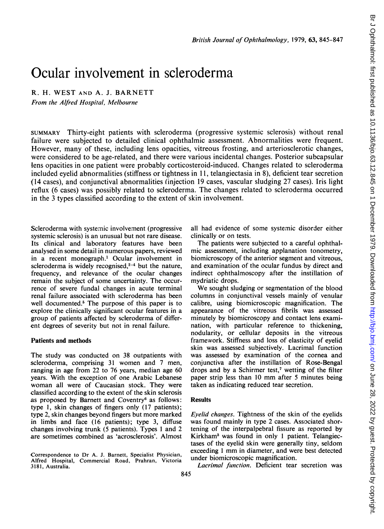# Ocular involvement in scleroderma

R. H. WEST AND A. J. BARNETT

From the Alfred Hospital, Melbourne

SUMMARY Thirty-eight patients with scleroderma (progressive systemic sclerosis) without renal failure were subjected to detailed clinical ophthalmic assessment. Abnormalities were frequent. However, many of these, including lens opacities, vitreous frosting, and arteriosclerotic changes, were considered to be age-related, and there were various incidental changes. Posterior subcapsular lens opacities in one patient were probably corticosteroid-induced. Changes related to scleroderma included eyelid abnormalities (stiffness or tightness in 11, telangiectasia in 8), deficient tear secretion (14 cases), and conjunctival abnormalities (injection 19 cases, vascular sludging 27 cases). Iris light reflux (6 cases) was possibly related to scleroderma. The changes related to scleroderma occurred in the 3 types classified according to the extent of skin involvement.

Scleroderma with systemic involvement (progressive systemic sclerosis) is an unusual but not rare disease. Its clinical and laboratory features have been analysed in some detail in numerous papers, reviewed in a recent monograph.' Ocular involvement in scleroderma is widely recognised, $2-4$  but the nature, frequency, and relevance of the ocular changes remain the subject of some uncertainty. The occurrence of severe fundal changes in acute terminal renal failure associated with scleroderma has been well documented.<sup>5</sup> The purpose of this paper is to explore the clinically significant ocular features in a group of patients affected by scleroderma of different degrees of severity but not in renal failure.

## Patients and methods

The study was conducted on 38 outpatients with scleroderma, comprising <sup>31</sup> women and 7 men, ranging in age from 22 to 76 years, median age 60 years. With the exception of one Arabic Lebanese woman all were of Caucasian stock. They were classified according to the extent of the skin sclerosis as proposed by Barnett and Coventry<sup>6</sup> as follows: type 1, skin changes of fingers only (17 patients); type 2, skin changes beyond fingers but more marked in limbs and face (16 patients); type 3, diffuse changes involving trunk (5 patients). Types <sup>1</sup> and 2 are sometimes combined as 'acrosclerosis'. Almost

Correspondence to Dr A. J. Barnett, Specialist Physician, Alfred Hospital, Commercial Road, Prahran, Victoria 3181, Australia.

all had evidence of some systemic disorder either clinically or on tests.

The patients were subjected to a careful ophthalmic assessment, including applanation tonometry, biomicroscopy of the anterior segment and vitreous, and examination of the ocular fundus by direct and indirect ophthalmoscopy after the instillation of mydriatic drops.

We sought sludging or segmentation of the blood columns in conjunctival vessels mainly of venular calibre, using biomicroscopic magnification. The appearance of the vitreous fibrils was assessed minutely by biomicroscopy and contact lens examination, with particular reference to thickening, nodularity, or cellular deposits in the vitreous framework. Stiffness and loss of elasticity of eyelid skin was assessed subjectively. Lacrimal function was assessed by examination of the cornea and conjunctiva after the instillation of Rose-Bengal drops and by a Schirmer test,<sup>7</sup> wetting of the filter paper strip less than <sup>10</sup> mm after <sup>5</sup> minutes being taken as indicating reduced tear secretion.

### Results

Eyelid changes. Tightness of the skin of the eyelids was found mainly in type 2 cases. Associated shortening of the interpalpebral fissure as reported by Kirkham3 was found in only <sup>1</sup> patient. Telangiectases of the eyelid skin were generally tiny, seldom exceeding <sup>1</sup> mm in diameter, and were best detected under biomicroscopic magnification.

Lacrimal function. Deficient tear secretion was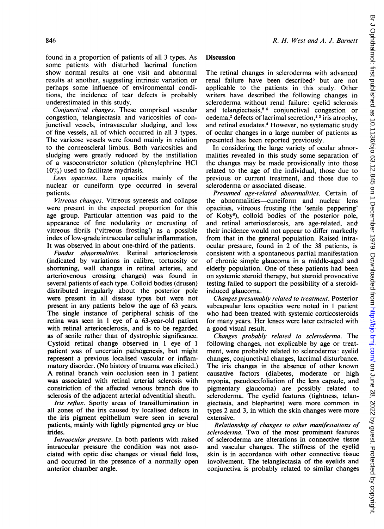found in a proportion of patients of all 3 types. As some patients with disturbed lacrimal function show normal results at one visit and abnormal results at another, suggesting intrinsic variation or perhaps some influence of environmental conditions, the incidence of tear defects is probably underestimated in this study.

Conjunctival changes. These comprised vascular congestion, telangiectasia and varicosities of conjunctival vessels, intravascular sludging, and loss of fine vessels, all of which occurred in all 3 types. The varicose vessels were found mainly in relation to the corneoscleral limbus. Both varicosities and sludging were greatly reduced by the instillation of a vasoconstrictor solution (phenylephrine HCl  $10\%$ ) used to facilitate mydriasis.

Lens opacities. Lens opacities mainly of the nuclear or cuneiform type occurred in several patients.

Vitreous changes. Vitreous syneresis and collapse were present in the expected proportion for this age group. Particular attention was paid to the appearance of fine nodularity or encrusting of vitreous fibrils ('vitreous frosting') as a possible index of low-grade intraocular cellular inflammation. It was observed in about one-third of the patients.

Fundus abnormalities. Retinal arteriosclerosis (indicated by variations in calibre, tortuosity or shortening, wall changes in retinal arteries, and arteriovenous crossing changes) was found in several patients of each type. Colloid bodies (drusen) distributed irregularly about the posterior pole were present in all disease types but were not present in any patients below the age of 63 years. The single instance of peripheral schisis of the retina was seen in <sup>1</sup> eye of a 63-year-old patient with retinal arteriosclerosis, and is to be regarded as of senile rather than of dystrophic significance. Cystoid retinal change observed in <sup>1</sup> eye of <sup>1</sup> patient was of uncertain pathogenesis, but might represent a previous localised vascular or inflammatory disorder. (No history of trauma was elicited.) A retinal branch vein occlusion seen in <sup>1</sup> patient was associated with retinal arterial sclerosis with constriction of the affected venous branch due to sclerosis of the adjacent arterial adventitial sheath.

Iris reflux. Spotty areas of transillumination in all zones of the iris caused by localised defects in the iris pigment epithelium were seen in several patients, mainly with lightly pigmented grey or blue irides.

Intraocular pressure. In both patients with raised intraocular pressure the condition was not associated with optic disc changes or visual field loss, and occurred in the presence of a normally open anterior chamber angle.

#### **Discussion**

The retinal changes in scleroderma with advanced renal failure have been described<sup>5</sup> but are not applicable to the patients in this study. Other writers have described the following changes in scleroderma without renal failure: eyelid sclerosis and telangiectasis,<sup>24</sup> conjunctival congestion or oedema, $2$  defects of lacrimal secretion, $2<sup>3</sup>$  iris atrophy, and retinal exudates.4 However, no systematic study of ocular changes in a large number of patients as presented has been reported previously.

In considering the large variety of ocular abnormalities revealed in this study some separation of the changes may be made provisionally into those related to the age of the individual, those due to previous or current treatment, and those due to scleroderma or associated disease.

Presumed age-related abnormalities. Certain of the abnormalities-cuneiform and nuclear lens opacities, vitreous frosting (the 'senile peppering' of Koby8), colloid bodies of the posterior pole, and retinal arteriosclerosis, are age-related, and their incidence would not appear to differ markedly from that in the general population. Raised intraocular pressure, found in 2 of the 38 patients, is consistent with a spontaneous partial manifestation of chronic simple glaucoma in a middle-aged and elderly population. One of these patients had been on systemic steroid therapy, but steroid provocative testing failed to support the possibility of a steroidinduced glaucoma.

Changes presumably related to treatment. Posterior subcapsular lens opacities were noted in <sup>1</sup> patient who had been treated with systemic corticosteroids for many years. Her lenses were later extracted with a good visual result.

Changes probably related to scleroderma. The following changes, not explicable by age or treatment, were probably related to scleroderma: eyelid changes, conjunctival changes, lacrimal disturbance. The iris changes in the absence of other known causative factors (diabetes, moderate or high myopia, pseudoexfoliation of the lens capsule, and pigmentary glaucoma) are possibly related to scleroderma. The eyelid features (tightness, telangiectasia, and blepharitis) were more common in types 2 and 3, in which the skin changes were more extensive.

Relationship of changes to other manifestations of scleroderma. Two of the most prominent features of scleroderma are alterations in connective tissue and vascular changes. The stiffness of the eyelid skin is in accordance with other connective tissue involvement. The telangiectasia of the eyelids and conjunctiva is probably related to similar changes